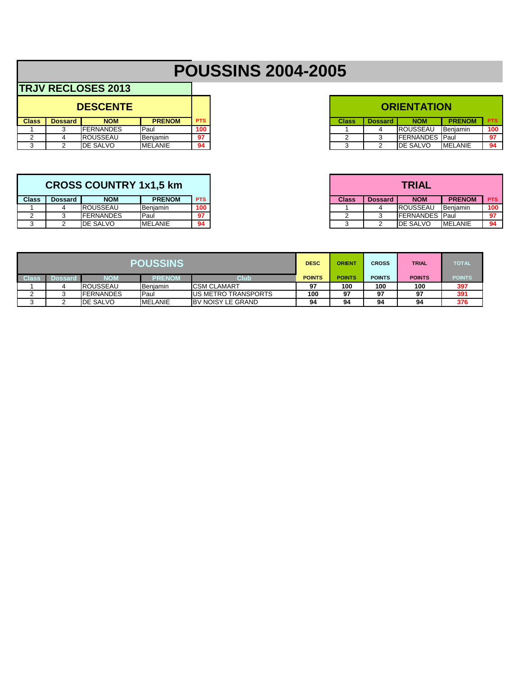# **POUSSINS 2004-2005**

.<br>T

|              |                  | <b>DESCENTE</b>   |                 |            |
|--------------|------------------|-------------------|-----------------|------------|
| <b>Class</b> | <b>Dossard</b> I | <b>NOM</b>        | <b>PRENOM</b>   | <b>PTS</b> |
|              |                  | <b>IFERNANDES</b> | <b>Paul</b>     | 100        |
|              |                  | <b>ROUSSEAU</b>   | <b>Benjamin</b> | 97         |
|              |                  | <b>IDE SALVO</b>  | <b>MELANIE</b>  | 94         |

|              |         | <b>CROSS COUNTRY 1x1.5 km</b> |                 |            |
|--------------|---------|-------------------------------|-----------------|------------|
| <b>Class</b> | Dossard | <b>NOM</b>                    | <b>PRENOM</b>   | <b>PTS</b> |
|              |         | <b>IROUSSEAU</b>              | Beniamin        | 100        |
| <u>_</u>     |         | <b>IFERNANDES</b>             | 'Paul           | 97         |
|              |         | <b>IDE SALVO</b>              | <b>IMELANIE</b> | 94         |

| <b>ORIENTATION</b> |                |                  |               |            |  |  |  |  |  |
|--------------------|----------------|------------------|---------------|------------|--|--|--|--|--|
| <b>Class</b>       | <b>Dossard</b> | <b>NOM</b>       | <b>PRENOM</b> | <b>PTS</b> |  |  |  |  |  |
|                    |                | ROUSSEAU         | Benjamin      | 100        |  |  |  |  |  |
| 2                  | ว              | <b>FERNANDES</b> | Paul          | 97         |  |  |  |  |  |
| 3                  |                | DE SALVO         | MFI ANIE      | 94         |  |  |  |  |  |

| <b>TRIAL</b> |                |                  |                |            |  |  |  |  |  |
|--------------|----------------|------------------|----------------|------------|--|--|--|--|--|
| <b>Class</b> | <b>Dossard</b> | <b>NOM</b>       | <b>PRENOM</b>  | <b>PTS</b> |  |  |  |  |  |
|              |                | <b>ROUSSEAU</b>  | Benjamin       | 100        |  |  |  |  |  |
|              |                | <b>FERNANDES</b> | Paul           | 97         |  |  |  |  |  |
|              |                | DE SALVO         | <b>MELANIE</b> | 94         |  |  |  |  |  |

| <b>POUSSINS</b> |                  |                  |                |                          | <b>DESC</b>   | <b>ORIENT</b> | <b>CROSS</b>  | <b>TRIAL</b>  | <b>TOTAL</b>  |
|-----------------|------------------|------------------|----------------|--------------------------|---------------|---------------|---------------|---------------|---------------|
| <b>Class</b>    | Dossard <b>'</b> | NOM              | <b>PRENOM</b>  | Club                     | <b>POINTS</b> | <b>POINTS</b> | <b>POINTS</b> | <b>POINTS</b> | <b>POINTS</b> |
|                 |                  | <b>ROUSSEAU</b>  | Benjamin       | <b>ICSM CLAMART</b>      | 97            | 100           | 100           | 100           | 397           |
|                 |                  | <b>FERNANDES</b> | <b>IPaul</b>   | IUS METRO TRANSPORTS     | 100           | 97            | 97            | 97            | 391           |
|                 |                  | <b>DE SALVO</b>  | <b>MELANIE</b> | <b>BV NOISY LE GRAND</b> | 94            | 94            | 94            | 94            | 376           |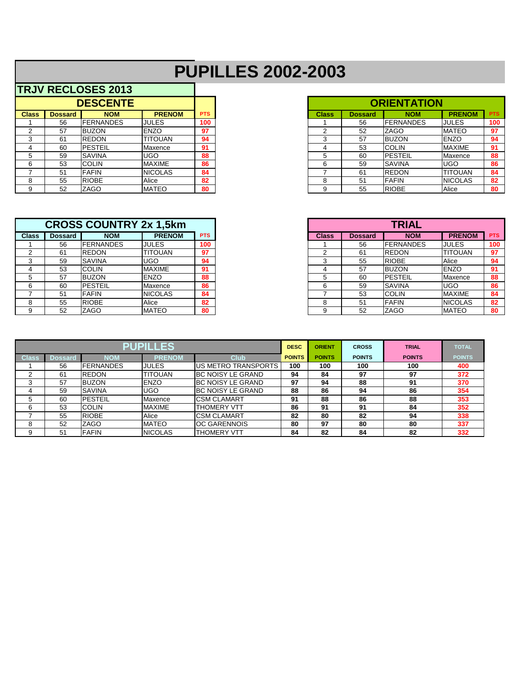## **PUPILLES 2002-2003**

|              |                | <b>DESCENTE</b>  |                 |            |
|--------------|----------------|------------------|-----------------|------------|
| <b>Class</b> | <b>Dossard</b> | <b>NOM</b>       | <b>PRENOM</b>   | <b>PTS</b> |
|              | 56             | <b>FERNANDES</b> | <b>JULES</b>    | 100        |
| ◠            | 57             | <b>IBUZON</b>    | <b>ENZO</b>     | 97         |
|              | -61            | <b>REDON</b>     | <b>TITOUAN</b>  | 94         |
|              | 60             | <b>PESTEIL</b>   | <b>IMaxence</b> | 91         |
|              | 59             | <b>SAVINA</b>    | <b>UGO</b>      | 88         |
| 6            | 53             | <b>COLIN</b>     | <b>MAXIME</b>   | 86         |
|              | 51             | <b>IFAFIN</b>    | <b>NICOLAS</b>  | 84         |
| 8            | 55             | <b>RIOBE</b>     | Alice           | 82         |
| 9            | 52             | <b>ZAGO</b>      | <b>MATEO</b>    | 80         |

| <b>CROSS COUNTRY 2x 1,5km</b> |                |                  |                 |            |
|-------------------------------|----------------|------------------|-----------------|------------|
| <b>Class</b>                  | <b>Dossard</b> | <b>NOM</b>       | <b>PRENOM</b>   | <b>PTS</b> |
|                               | 56             | <b>FERNANDES</b> | <b>JULES</b>    | 100        |
| ົ                             | 61             | <b>REDON</b>     | TITOUAN         | 97         |
| ົ                             | 59             | <b>SAVINA</b>    | UGO             | 94         |
|                               | 53             | <b>COLIN</b>     | <b>MAXIME</b>   | 91         |
|                               | 57             | <b>IBUZON</b>    | <b>ENZO</b>     | 88         |
| 6                             | 60             | <b>PESTEIL</b>   | <b>IMaxence</b> | 86         |
|                               | 51             | <b>FAFIN</b>     | <b>NICOLAS</b>  | 84         |
| 8                             | 55             | <b>RIOBE</b>     | Alice           | 82         |
|                               | 52             | <b>ZAGO</b>      | <b>MATEO</b>    | 80         |

| <b>DESCENTE</b> |                |                  |                 |            |
|-----------------|----------------|------------------|-----------------|------------|
| ass             | <b>Dossard</b> | <b>NOM</b>       | <b>PRENOM</b>   | <b>PTS</b> |
|                 | 56             | <b>FERNANDES</b> | <b>JULES</b>    | 100        |
|                 | 57             | <b>BUZON</b>     | <b>ENZO</b>     | 97         |
|                 | -61            | <b>IREDON</b>    | <b>TITOUAN</b>  | 94         |
|                 | 60             | <b>IPESTEIL</b>  | <b>IMaxence</b> | 91         |
|                 | 59             | <b>SAVINA</b>    | <b>IUGO</b>     | 88         |
|                 | 53             | <b>COLIN</b>     | <b>MAXIME</b>   | 86         |
|                 | -51            | <b>FAFIN</b>     | <b>NICOLAS</b>  | 84         |
|                 | 55             | <b>RIOBE</b>     | Alice           | 82         |
|                 | 52             | ZAGO             | <b>MATEO</b>    | 80         |

| <b>CROSS COUNTRY 2x 1,5km</b> |                |                  |                |            |  |
|-------------------------------|----------------|------------------|----------------|------------|--|
| ass                           | <b>Dossard</b> | <b>NOM</b>       | <b>PRENOM</b>  | <b>PTS</b> |  |
|                               | 56             | <b>FERNANDES</b> | <b>JULES</b>   | 100        |  |
|                               | 61             | <b>IREDON</b>    | <b>TITOUAN</b> | 97         |  |
|                               | 59             | <b>SAVINA</b>    | <b>UGO</b>     | 94         |  |
|                               | 53             | <b>COLIN</b>     | <b>MAXIME</b>  | 91         |  |
|                               | 57             | <b>BUZON</b>     | <b>ENZO</b>    | 88         |  |
|                               | 60             | <b>IPESTEIL</b>  | Maxence        | 86         |  |
|                               | 51             | FAFIN            | <b>NICOLAS</b> | 84         |  |
|                               | 55             | <b>RIOBE</b>     | Alice          | 82         |  |
|                               | 52             | <b>ZAGO</b>      | <b>MATEO</b>   | 80         |  |

|       |         |                  | <b>PUPILLES</b> | <b>DESC</b>               | <b>ORIENT</b> | <b>CROSS</b>  | <b>TRIAL</b>  | <b>TOTAL</b>  |               |
|-------|---------|------------------|-----------------|---------------------------|---------------|---------------|---------------|---------------|---------------|
| Class | Dossard | NOM              | <b>PRENOM</b>   | <b>Club</b>               | <b>POINTS</b> | <b>POINTS</b> | <b>POINTS</b> | <b>POINTS</b> | <b>POINTS</b> |
|       | 56      | <b>FERNANDES</b> | <b>JULES</b>    | US METRO TRANSPORTS       | 100           | 100           | 100           | 100           | 400           |
|       | 61      | <b>REDON</b>     | <b>TITOUAN</b>  | <b>BC NOISY LE GRAND</b>  | 94            | 84            | 97            | 97            | 372           |
|       | 57      | <b>BUZON</b>     | <b>ENZO</b>     | <b>IBC NOISY LE GRAND</b> | 97            | 94            | 88            | 91            | 370           |
|       | 59      | <b>SAVINA</b>    | <b>UGO</b>      | <b>BC NOISY LE GRAND</b>  | 88            | 86            | 94            | 86            | 354           |
| 5.    | 60      | <b>PESTEIL</b>   | <b>IMaxence</b> | <b>CSM CLAMART</b>        | 91            | 88            | 86            | 88            | 353           |
| 6     | 53      | <b>COLIN</b>     | <b>MAXIME</b>   | <b>THOMERY VTT</b>        | 86            | 91            | 91            | 84            | 352           |
|       | 55      | <b>RIOBE</b>     | Alice           | <b>CSM CLAMART</b>        | 82            | 80            | 82            | 94            | 338           |
| 8     | 52      | <b>ZAGO</b>      | <b>MATEO</b>    | <b>OC GARENNOIS</b>       | 80            | 97            | 80            | 80            | 337           |
| 9     | 51      | <b>FAFIN</b>     | <b>NICOLAS</b>  | <b>THOMERY VTT</b>        | 84            | 82            | 84            | 82            | 332           |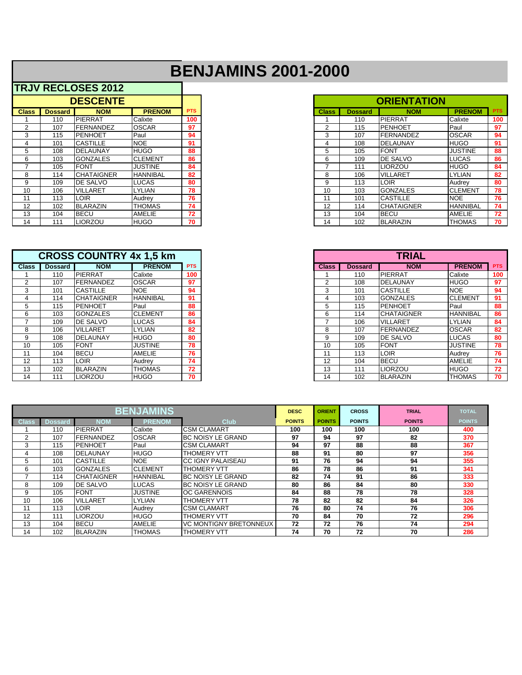## **BENJAMINS 2001-2000**

|                   | <b>DESCENTE</b> |                   |                 |            |  |
|-------------------|-----------------|-------------------|-----------------|------------|--|
| <b>Class</b>      | <b>Dossard</b>  | <b>NOM</b>        | <b>PRENOM</b>   | <b>PTS</b> |  |
|                   | 110             | <b>IPIERRAT</b>   | Calixte         | 100        |  |
| 2                 | 107             | FERNANDEZ         | <b>OSCAR</b>    | 97         |  |
| 3                 | 115             | <b>IPENHOET</b>   | Paul            | 94         |  |
| 4                 | 101             | <b>CASTILLE</b>   | <b>NOE</b>      | 91         |  |
| 5                 | 108             | <b>DELAUNAY</b>   | <b>HUGO</b>     | 88         |  |
| 6                 | 103             | <b>GONZALES</b>   | <b>CLEMENT</b>  | 86         |  |
|                   | 105             | <b>FONT</b>       | <b>JUSTINE</b>  | 84         |  |
| 8                 | 114             | <b>CHATAIGNER</b> | <b>HANNIBAL</b> | 82         |  |
| 9                 | 109             | <b>IDE SALVO</b>  | <b>LUCAS</b>    | 80         |  |
| 10                | 106             | <b>VILLARET</b>   | <b>LYLIAN</b>   | 78         |  |
| 11                | 113             | <b>LOIR</b>       | Audrey          | 76         |  |
| $12 \overline{ }$ | 102             | <b>BLARAZIN</b>   | <b>THOMAS</b>   | 74         |  |
| 13                | 104             | <b>I</b> BECU     | <b>AMELIE</b>   | 72         |  |
| 14                | 111             | II IORZOLI        | HI IGO.         | 70         |  |

|                | <b>CROSS COUNTRY 4x 1,5 km</b> |                   |                 |            |  |  |  |  |  |  |  |
|----------------|--------------------------------|-------------------|-----------------|------------|--|--|--|--|--|--|--|
| <b>Class</b>   | <b>Dossard</b>                 | <b>NOM</b>        | <b>PRENOM</b>   | <b>PTS</b> |  |  |  |  |  |  |  |
|                | 110                            | <b>PIERRAT</b>    | Calixte         | 100        |  |  |  |  |  |  |  |
| $\overline{2}$ | 107                            | <b>FERNANDEZ</b>  | <b>OSCAR</b>    | 97         |  |  |  |  |  |  |  |
| 3              | 101                            | <b>CASTILLE</b>   | <b>NOE</b>      | 94         |  |  |  |  |  |  |  |
| 4              | 114                            | <b>CHATAIGNER</b> | <b>HANNIBAL</b> | 91         |  |  |  |  |  |  |  |
| 5              | 115                            | <b>PENHOET</b>    | Paul            | 88         |  |  |  |  |  |  |  |
| 6              | 103                            | <b>GONZALES</b>   | <b>CLEMENT</b>  | 86         |  |  |  |  |  |  |  |
| 7              | 109                            | DE SALVO          | <b>LUCAS</b>    | 84         |  |  |  |  |  |  |  |
| 8              | 106                            | <b>VILLARET</b>   | <b>LYLIAN</b>   | 82         |  |  |  |  |  |  |  |
| 9              | 108                            | <b>DELAUNAY</b>   | <b>HUGO</b>     | 80         |  |  |  |  |  |  |  |
| 10             | 105                            | <b>FONT</b>       | <b>JUSTINE</b>  | 78         |  |  |  |  |  |  |  |
| 11             | 104                            | <b>BECU</b>       | <b>AMELIE</b>   | 76         |  |  |  |  |  |  |  |
| 12             | 113                            | LOIR              | Audrey          | 74         |  |  |  |  |  |  |  |
| 13             | 102                            | <b>BLARAZIN</b>   | <b>THOMAS</b>   | 72         |  |  |  |  |  |  |  |
| 14             | 111                            | <b>LIORZOU</b>    | <b>HUGO</b>     | 70         |  |  |  |  |  |  |  |

|              |                | <b>DESCENTE</b>   |                 |            |
|--------------|----------------|-------------------|-----------------|------------|
| <b>Class</b> | <b>Dossard</b> | <b>NOM</b>        | <b>PRENOM</b>   | <b>PTS</b> |
|              | 110            | PIERRAT           | Calixte         | 100        |
|              | 107            | <b>FERNANDEZ</b>  | <b>OSCAR</b>    | 97         |
| 3            | 115            | <b>PENHOET</b>    | Paul            | 94         |
| 4            | 101            | <b>CASTILLE</b>   | <b>NOE</b>      | 91         |
| 5            | 108            | DELAUNAY          | <b>HUGO</b>     | 88         |
| 6            | 103            | <b>GONZALES</b>   | <b>CLEMENT</b>  | 86         |
|              | 105            | <b>FONT</b>       | <b>JUSTINE</b>  | 84         |
| 8            | 114            | <b>CHATAIGNER</b> | <b>HANNIBAL</b> | 82         |
| 9            | 109            | <b>IDE SALVO</b>  | LUCAS           | 80         |
| 10           | 106            | <b>VILLARET</b>   | <b>LYLIAN</b>   | 78         |
| 11           | 113            | LOIR              | Audrey          | 76         |
| 12           | 102            | <b>IBLARAZIN</b>  | <b>THOMAS</b>   | 74         |
| 13           | 104            | <b>BECU</b>       | AMELIE          | 72         |
| 14           | 111            | <b>LIORZOU</b>    | <b>HUGO</b>     | 70         |

|              |                | <b>CROSS COUNTRY 4x 1.5 km</b> |                 |            |
|--------------|----------------|--------------------------------|-----------------|------------|
| <b>Class</b> | <b>Dossard</b> | <b>NOM</b>                     | <b>PRENOM</b>   | <b>PTS</b> |
|              | 110            | PIERRAT                        | Calixte         | 100        |
|              | 107            | <b>FERNANDEZ</b>               | <b>OSCAR</b>    | 97         |
| 3            | 101            | <b>CASTILLE</b>                | <b>NOE</b>      | 94         |
|              | 114            | <b>CHATAIGNER</b>              | <b>HANNIBAL</b> | 91         |
| 5            | 115            | <b>IPENHOET</b>                | Paul            | 88         |
| 6            | 103            | <b>GONZALES</b>                | <b>CLEMENT</b>  | 86         |
|              | 109            | <b>DE SALVO</b>                | LUCAS           | 84         |
| 8            | 106            | <b>VILLARET</b>                | <b>LYLIAN</b>   | 82         |
| 9            | 108            | IDELAUNAY                      | <b>HUGO</b>     | 80         |
| 10           | 105            | <b>FONT</b>                    | JUSTINE         | 78         |
|              | 104            | <b>BECU</b>                    | <b>AMELIE</b>   | 76         |
| 12           | 113            | <b>LOIR</b>                    | <b>Audrev</b>   | 74         |
| 13           | 102            | <b>BLARAZIN</b>                | <b>THOMAS</b>   | 72         |
| 14           | 111            | <b>LIORZOU</b>                 | <b>HUGO</b>     | 70         |

|              |                |                   | <b>BENJAMINS</b> |                           | <b>DESC</b>   | <b>ORIENT</b> | <b>CROSS</b>  | <b>TRIAL</b>  | <b>TOTAL</b>  |
|--------------|----------------|-------------------|------------------|---------------------------|---------------|---------------|---------------|---------------|---------------|
| <b>Class</b> | <b>Dossard</b> | <b>NOM</b>        | <b>PRENOM</b>    | <b>Club</b>               | <b>POINTS</b> | <b>POINTS</b> | <b>POINTS</b> | <b>POINTS</b> | <b>POINTS</b> |
|              | 110            | PIERRAT           | Calixte          | <b>CSM CLAMART</b>        | 100           | 100           | 100           | 100           | 400           |
| 2            | 107            | <b>IFERNANDEZ</b> | <b>OSCAR</b>     | <b>BC NOISY LE GRAND</b>  | 97            | 94            | 97            | 82            | 370           |
| 3            | 115            | <b>IPENHOET</b>   | Paul             | <b>CSM CLAMART</b>        | 94            | 97            | 88            | 88            | 367           |
|              | 108            | <b>DELAUNAY</b>   | <b>HUGO</b>      | <b>THOMERY VTT</b>        | 88            | 91            | 80            | 97            | 356           |
| 5            | 101            | <b>ICASTILLE</b>  | <b>NOE</b>       | <b>ICC IGNY PALAISEAU</b> | 91            | 76            | 94            | 94            | 355           |
| 6            | 103            | <b>IGONZALES</b>  | <b>CLEMENT</b>   | <b>THOMERY VTT</b>        | 86            | 78            | 86            | 91            | 341           |
|              | 114            | <b>CHATAIGNER</b> | <b>HANNIBAL</b>  | <b>BC NOISY LE GRAND</b>  | 82            | 74            | 91            | 86            | 333           |
| 8            | 109            | <b>IDE SALVO</b>  | <b>LUCAS</b>     | <b>IBC NOISY LE GRAND</b> | 80            | 86            | 84            | 80            | 330           |
| 9            | 105            | <b>IFONT</b>      | <b>JUSTINE</b>   | IOC GARENNOIS             | 84            | 88            | 78            | 78            | 328           |
| 10           | 106            | <b>VILLARET</b>   | <b>LYLIAN</b>    | THOMERY VTT               | 78            | 82            | 82            | 84            | 326           |
| 11           | 113            | ILOIR             | Audrey           | <b>CSM CLAMART</b>        | 76            | 80            | 74            | 76            | 306           |
| 12           | 111            | <b>LIORZOU</b>    | <b>HUGO</b>      | THOMERY VTT               | 70            | 84            | 70            | 72            | 296           |
| 13           | 104            | <b>BECU</b>       | <b>AMELIE</b>    | VC MONTIGNY BRETONNEUX    | 72            | 72            | 76            | 74            | 294           |
| 14           | 102            | <b>BLARAZIN</b>   | <b>THOMAS</b>    | <b>THOMERY VTT</b>        | 74            | 70            | 72            | 70            | 286           |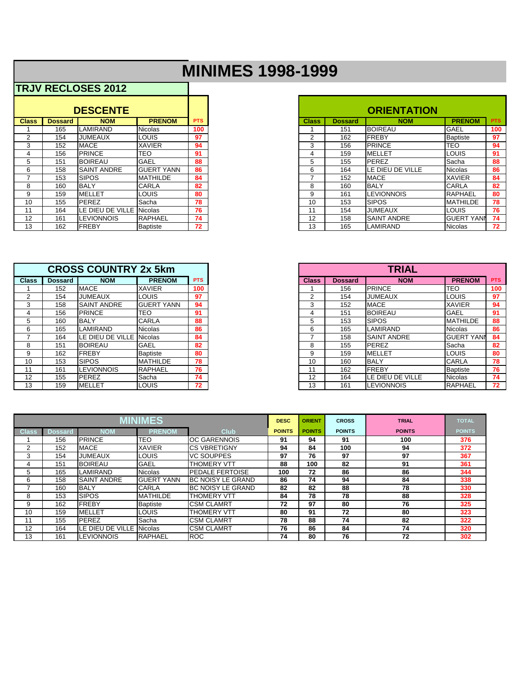## **MINIMES 1998-1999**

|              |                | <b>DESCENTE</b>    |                   |            |
|--------------|----------------|--------------------|-------------------|------------|
| <b>Class</b> | <b>Dossard</b> | <b>NOM</b>         | <b>PRENOM</b>     | <b>PTS</b> |
|              | 165            | LAMIRAND           | <b>Nicolas</b>    | 100        |
| 2            | 154            | <b>JUMEAUX</b>     | <b>LOUIS</b>      | 97         |
| 3            | 152            | <b>MACE</b>        | <b>XAVIER</b>     | 94         |
| 4            | 156            | <b>PRINCE</b>      | <b>TEO</b>        | 91         |
| 5            | 151            | <b>BOIREAU</b>     | GAEL              | 88         |
| 6            | 158            | <b>SAINT ANDRE</b> | <b>GUERT YANN</b> | 86         |
| 7            | 153            | <b>SIPOS</b>       | <b>MATHILDE</b>   | 84         |
| 8            | 160            | <b>BALY</b>        | <b>CARLA</b>      | 82         |
| 9            | 159            | <b>MELLET</b>      | <b>LOUIS</b>      | 80         |
| 10           | 155            | <b>PEREZ</b>       | Sacha             | 78         |
| 11           | 164            | LE DIEU DE VILLE   | <b>Nicolas</b>    | 76         |
| 12           | 161            | <b>LEVIONNOIS</b>  | <b>RAPHAEL</b>    | 74         |
| 13           | 162            | <b>FREBY</b>       | <b>Baptiste</b>   | 72         |
|              |                |                    |                   |            |

|                |                | <b>CROSS COUNTRY 2x 5km</b> |                   |            |
|----------------|----------------|-----------------------------|-------------------|------------|
| <b>Class</b>   | <b>Dossard</b> | <b>NOM</b>                  | <b>PRENOM</b>     | <b>PTS</b> |
|                | 152            | <b>MACE</b>                 | <b>XAVIER</b>     | 100        |
| $\overline{2}$ | 154            | <b>JUMEAUX</b>              | LOUIS             | 97         |
| 3              | 158            | <b>SAINT ANDRE</b>          | <b>GUERT YANN</b> | 94         |
| 4              | 156            | <b>PRINCE</b>               | TEO               | 91         |
| 5              | 160            | <b>BALY</b>                 | <b>CARLA</b>      | 88         |
| 6              | 165            | <b>LAMIRAND</b>             | <b>Nicolas</b>    | 86         |
| 7              | 164            | LE DIEU DE VILLE Nicolas    |                   | 84         |
| 8              | 151            | <b>BOIREAU</b>              | <b>GAEL</b>       | 82         |
| 9              | 162            | <b>FREBY</b>                | <b>Baptiste</b>   | 80         |
| 10             | 153            | <b>SIPOS</b>                | <b>MATHILDE</b>   | 78         |
| 11             | 161            | <b>LEVIONNOIS</b>           | <b>RAPHAEL</b>    | 76         |
| 12             | 155            | <b>PEREZ</b>                | Sacha             | 74         |
| 13             | 159            | <b>MELLET</b>               | LOUIS             | 72         |

|              |                | <b>DESCENTE</b>    |                   |            |
|--------------|----------------|--------------------|-------------------|------------|
| <b>Class</b> | <b>Dossard</b> | <b>NOM</b>         | <b>PRENOM</b>     | <b>PTS</b> |
|              | 165            | LAMIRAND           | <b>INicolas</b>   | 100        |
| 2            | 154            | JUMEAUX            | <b>LOUIS</b>      | 97         |
| 3            | 152            | <b>MACE</b>        | <b>XAVIER</b>     | 94         |
|              | 156            | PRINCE             | <b>TEO</b>        | 91         |
| 5            | 151            | <b>BOIREAU</b>     | <b>GAEL</b>       | 88         |
| 6            | 158            | <b>SAINT ANDRE</b> | <b>GUERT YANN</b> | 86         |
|              | 153            | <b>SIPOS</b>       | <b>IMATHILDE</b>  | 84         |
| 8            | 160            | <b>BALY</b>        | <b>CARLA</b>      | 82         |
| 9            | 159            | <b>MELLET</b>      | <b>I</b> LOUIS    | 80         |
| 10           | 155            | <b>PEREZ</b>       | <b>ISacha</b>     | 78         |
|              | 164            | LE DIEU DE VILLE   | Nicolas           | 76         |
| 12           | 161            | <b>ILEVIONNOIS</b> | <b>IRAPHAEL</b>   | 74         |
| 13           | 162            | FREBY              | Baptiste          | 72         |

|                |                | <b>CROSS COUNTRY 2x 5km</b> |                    |            |
|----------------|----------------|-----------------------------|--------------------|------------|
| <b>Class</b>   | <b>Dossard</b> | <b>NOM</b>                  | <b>PRENOM</b>      | <b>PTS</b> |
|                | 152            | <b>MACE</b>                 | <b>XAVIER</b>      | 100        |
| $\overline{2}$ | 154            | <b>JUMEAUX</b>              | <b>I</b> LOUIS     | 97         |
| 3              | 158            | <b>SAINT ANDRE</b>          | <b>IGUERT YANN</b> | 94         |
| 4              | 156            | <b>PRINCE</b>               | <b>TEO</b>         | 91         |
| 5              | 160            | <b>BALY</b>                 | <b>CARLA</b>       | 88         |
| 6              | 165            | LAMIRAND                    | Nicolas            | 86         |
|                | 164            | LE DIEU DE VILLE Nicolas    |                    | 84         |
| 8              | 151            | <b>BOIREAU</b>              | <b>GAEL</b>        | 82         |
| 9              | 162            | FREBY                       | Baptiste           | 80         |
| 10             | 153            | <b>SIPOS</b>                | <b>IMATHILDE</b>   | 78         |
|                | 161            | <b>LEVIONNOIS</b>           | RAPHAEL            | 76         |
| 12             | 155            | PEREZ                       | Sacha              | 74         |
| 13             | 159            | <b>MELLET</b>               | <b>LOUIS</b>       | 72         |

|              |                |                     | <b>MINIMES</b>  |                          | <b>DESC</b>   | <b>ORIENT</b> | <b>CROSS</b>  | <b>TRIAL</b>  | <b>TOTAL</b>  |
|--------------|----------------|---------------------|-----------------|--------------------------|---------------|---------------|---------------|---------------|---------------|
| <b>Class</b> | <b>Dossard</b> | NOM                 | <b>PRENOM</b>   | <b>Club</b>              | <b>POINTS</b> | <b>POINTS</b> | <b>POINTS</b> | <b>POINTS</b> | <b>POINTS</b> |
|              | 156            | <b>PRINCE</b>       | <b>TEO</b>      | <b>OC GARENNOIS</b>      | 91            | 94            | 91            | 100           | 376           |
| 2            | 152            | <b>IMACE</b>        | <b>XAVIER</b>   | <b>CS VBRETIGNY</b>      | 94            | 84            | 100           | 94            | 372           |
| 3            | 154            | <b>JUMEAUX</b>      | <b>LOUIS</b>    | <b>VC SOUPPES</b>        | 97            | 76            | 97            | 97            | 367           |
| 4            | 151            | <b>BOIREAU</b>      | <b>GAEL</b>     | <b>THOMERY VTT</b>       | 88            | 100           | 82            | 91            | 361           |
| 5            | 165            | LAMIRAND            | <b>Nicolas</b>  | <b>PEDALE FERTOISE</b>   | 100           | 72            | 86            | 86            | 344           |
| 6            | 158            | <b>ISAINT ANDRE</b> | IGUERT YANN     | <b>BC NOISY LE GRAND</b> | 86            | 74            | 94            | 84            | 338           |
|              | 160            | <b>BALY</b>         | <b>CARLA</b>    | <b>BC NOISY LE GRAND</b> | 82            | 82            | 88            | 78            | 330           |
| 8            | 153            | <b>SIPOS</b>        | <b>MATHILDE</b> | <b>THOMERY VTT</b>       | 84            | 78            | 78            | 88            | 328           |
| 9            | 162            | <b>IFREBY</b>       | <b>Baptiste</b> | <b>CSM CLAMRT</b>        | 72            | 97            | 80            | 76            | 325           |
| 10           | 159            | <b>MELLET</b>       | <b>LOUIS</b>    | <b>THOMERY VTT</b>       | 80            | 91            | 72            | 80            | 323           |
| 11           | 155            | <b>PEREZ</b>        | Sacha           | <b>CSM CLAMRT</b>        | 78            | 88            | 74            | 82            | 322           |
| 12           | 164            | LE DIEU DE VILLE    | Nicolas         | <b>CSM CLAMRT</b>        | 76            | 86            | 84            | 74            | 320           |
| 13           | 161            | LEVIONNOIS          | <b>RAPHAEL</b>  | <b>ROC</b>               | 74            | 80            | 76            | 72            | 302           |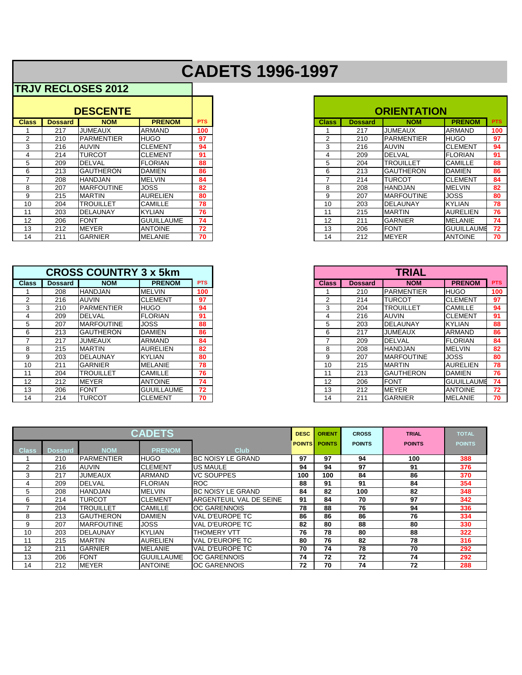## **CADETS 1996-1997**

|              |                | <b>DESCENTE</b>    |                   |            |
|--------------|----------------|--------------------|-------------------|------------|
| <b>Class</b> | <b>Dossard</b> | <b>NOM</b>         | <b>PRENOM</b>     | <b>PTS</b> |
|              | 217            | <b>JUMEAUX</b>     | <b>ARMAND</b>     | 100        |
|              | 210            | <b>PARMENTIER</b>  | <b>HUGO</b>       | 97         |
| 3            | 216            | <b>AUVIN</b>       | <b>CLEMENT</b>    | 94         |
| 4            | 214            | TURCOT             | <b>CLEMENT</b>    | 91         |
| 5.           | 209            | <b>DELVAL</b>      | <b>FLORIAN</b>    | 88         |
| 6            | 213            | <b>GAUTHERON</b>   | <b>DAMIEN</b>     | 86         |
|              | 208            | <b>HANDJAN</b>     | <b>MELVIN</b>     | 84         |
| 8            | 207            | <b>IMARFOUTINE</b> | <b>JOSS</b>       | 82         |
| 9            | 215            | <b>MARTIN</b>      | <b>AURELIEN</b>   | 80         |
| 10           | 204            | <b>TROUILLET</b>   | <b>CAMILLE</b>    | 78         |
| 11           | 203            | <b>DELAUNAY</b>    | <b>KYLIAN</b>     | 76         |
| 12           | 206            | <b>FONT</b>        | <b>GUUILLAUME</b> | 74         |
| 13           | 212            | <b>MEYER</b>       | <b>ANTOINE</b>    | 72         |
| 14           | 211            | <b>GARNIER</b>     | IMELANIE          | 70         |

|              |                | <b>CROSS COUNTRY 3 x 5km</b> |                   |            |
|--------------|----------------|------------------------------|-------------------|------------|
| <b>Class</b> | <b>Dossard</b> | <b>NOM</b>                   | <b>PRENOM</b>     | <b>PTS</b> |
|              | 208            | <b>HANDJAN</b>               | IMELVIN           | 100        |
|              | 216            | <b>AUVIN</b>                 | <b>CLEMENT</b>    | 97         |
| 3            | 210            | <b>IPARMENTIER</b>           | <b>HUGO</b>       | 94         |
| 4            | 209            | <b>DELVAL</b>                | <b>FLORIAN</b>    | 91         |
| 5            | 207            | <b>IMARFOUTINE</b>           | <b>JOSS</b>       | 88         |
| 6            | 213            | <b>GAUTHERON</b>             | <b>DAMIEN</b>     | 86         |
|              | 217            | <b>JUMEAUX</b>               | ARMAND            | 84         |
| 8            | 215            | <b>MARTIN</b>                | <b>AURELIEN</b>   | 82         |
| 9            | 203            | DELAUNAY                     | IKYLIAN           | 80         |
| 10           | 211            | <b>GARNIER</b>               | MELANIE           | 78         |
| 11           | 204            | <b>TROUILLET</b>             | <b>CAMILLE</b>    | 76         |
| 12           | 212            | <b>MEYER</b>                 | <b>ANTOINE</b>    | 74         |
| 13           | 206            | <b>FONT</b>                  | <b>GUUILLAUME</b> | 72         |
| 14           | 214            | <b>TURCOT</b>                | <b>CLEMENT</b>    | 70         |

|                |                | <b>DESCENTE</b>   |                   |            |
|----------------|----------------|-------------------|-------------------|------------|
| ass            | <b>Dossard</b> | <b>NOM</b>        | <b>PRENOM</b>     | <b>PTS</b> |
|                | 217            | <b>JUMEAUX</b>    | ARMAND            | 100        |
|                | 210            | <b>PARMENTIER</b> | <b>HUGO</b>       | 97         |
|                | 216            | <b>AUVIN</b>      | <b>CLEMENT</b>    | 94         |
|                | 214            | <b>TURCOT</b>     | <b>ICLEMENT</b>   | 91         |
| 5              | 209            | <b>DELVAL</b>     | <b>FLORIAN</b>    | 88         |
|                | 213            | <b>GAUTHERON</b>  | DAMIEN            | 86         |
|                | 208            | <b>HANDJAN</b>    | <b>MELVIN</b>     | 84         |
| 8              | 207            | IMARFOUTINE       | <b>JOSS</b>       | 82         |
|                | 215            | <b>MARTIN</b>     | <b>AURELIEN</b>   | 80         |
|                | 204            | <b>TROUILLET</b>  | <b>CAMILLE</b>    | 78         |
|                | 203            | <b>IDELAUNAY</b>  | <b>KYLIAN</b>     | 76         |
| $\overline{2}$ | 206            | <b>FONT</b>       | <b>GUUILLAUME</b> | 74         |
| 3              | 212            | <b>IMEYER</b>     | <b>ANTOINE</b>    | 72         |
| 4              | 211            | <b>GARNIER</b>    | <b>IMELANIE</b>   | 70         |

|                 | <b>CROSS COUNTRY 3 x 5km</b> |                   |                   |            |
|-----------------|------------------------------|-------------------|-------------------|------------|
| lass            | <b>Dossard</b>               | <b>NOM</b>        | <b>PRENOM</b>     | <b>PTS</b> |
|                 | 208                          | <b>HANDJAN</b>    | IMELVIN           | 100        |
| $\overline{2}$  | 216                          | <b>AUVIN</b>      | <b>CLEMENT</b>    | 97         |
| 3               | 210                          | <b>PARMENTIER</b> | <b>HUGO</b>       | 94         |
| 4               | 209                          | <b>DELVAL</b>     | FLORIAN           | 91         |
| 5               | 207                          | <b>MARFOUTINE</b> | <b>JOSS</b>       | 88         |
| 6               | 213                          | <b>GAUTHERON</b>  | <b>DAMIEN</b>     | 86         |
|                 | 217                          | <b>JUMEAUX</b>    | <b>ARMAND</b>     | 84         |
| 8               | 215                          | <b>MARTIN</b>     | <b>AURELIEN</b>   | 82         |
| 9               | 203                          | <b>DELAUNAY</b>   | <b>KYLIAN</b>     | 80         |
| 10              | 211                          | <b>GARNIER</b>    | IMELANIE          | 78         |
| 11              | 204                          | <b>TROUILLET</b>  | <b>CAMILLE</b>    | 76         |
| 12 <sub>2</sub> | 212                          | <b>MEYER</b>      | <b>ANTOINE</b>    | 74         |
| 13              | 206                          | <b>FONT</b>       | <b>GUUILLAUME</b> | 72         |
| 14              | 214                          | <b>TURCOT</b>     | <b>CLEMENT</b>    | 70         |

| <b>CADETS</b>  |                |                   |                   |                          |               | <b>ORIENT</b> | <b>CROSS</b>  | <b>TRIAL</b>  | <b>TOTAL</b>  |
|----------------|----------------|-------------------|-------------------|--------------------------|---------------|---------------|---------------|---------------|---------------|
| <b>Class</b>   | <b>Dossard</b> | <b>NOM</b>        | <b>PRENOM</b>     | <b>Club</b>              | <b>POINTS</b> | <b>POINTS</b> | <b>POINTS</b> | <b>POINTS</b> | <b>POINTS</b> |
|                | 210            | <b>PARMENTIER</b> | <b>HUGO</b>       | <b>BC NOISY LE GRAND</b> | 97            | 97            | 94            | 100           | 388           |
| $\overline{2}$ | 216            | <b>AUVIN</b>      | <b>CLEMENT</b>    | <b>US MAULE</b>          | 94            | 94            | 97            | 91            | 376           |
| 3              | 217            | <b>JUMEAUX</b>    | <b>ARMAND</b>     | <b>VC SOUPPES</b>        | 100           | 100           | 84            | 86            | 370           |
| 4              | 209            | <b>DELVAL</b>     | <b>FLORIAN</b>    | <b>ROC</b>               | 88            | 91            | 91            | 84            | 354           |
| 5              | 208            | <b>HANDJAN</b>    | MELVIN            | <b>BC NOISY LE GRAND</b> | 84            | 82            | 100           | 82            | 348           |
| 6              | 214            | <b>TURCOT</b>     | <b>CLEMENT</b>    | ARGENTEUIL VAL DE SEINE  | 91            | 84            | 70            | 97            | 342           |
|                | 204            | <b>TROUILLET</b>  | <b>CAMILLE</b>    | <b>OC GARENNOIS</b>      | 78            | 88            | 76            | 94            | 336           |
| 8              | 213            | <b>GAUTHERON</b>  | <b>DAMIEN</b>     | VAL D'EUROPE TC          | 86            | 86            | 86            | 76            | 334           |
| 9              | 207            | <b>MARFOUTINE</b> | <b>JOSS</b>       | VAL D'EUROPE TC          | 82            | 80            | 88            | 80            | 330           |
| 10             | 203            | <b>DELAUNAY</b>   | IKYLIAN           | <b>THOMERY VTT</b>       | 76            | 78            | 80            | 88            | 322           |
| 11             | 215            | <b>MARTIN</b>     | <b>AURELIEN</b>   | VAL D'EUROPE TC          | 80            | 76            | 82            | 78            | 316           |
| 12             | 211            | <b>GARNIER</b>    | MELANIE           | VAL D'EUROPE TC          | 70            | 74            | 78            | 70            | 292           |
| 13             | 206            | <b>FONT</b>       | <b>GUUILLAUME</b> | <b>OC GARENNOIS</b>      | 74            | 72            | 72            | 74            | 292           |
| 14             | 212            | <b>MEYER</b>      | <b>ANTOINE</b>    | <b>OC GARENNOIS</b>      | 72            | 70            | 74            | 72            | 288           |